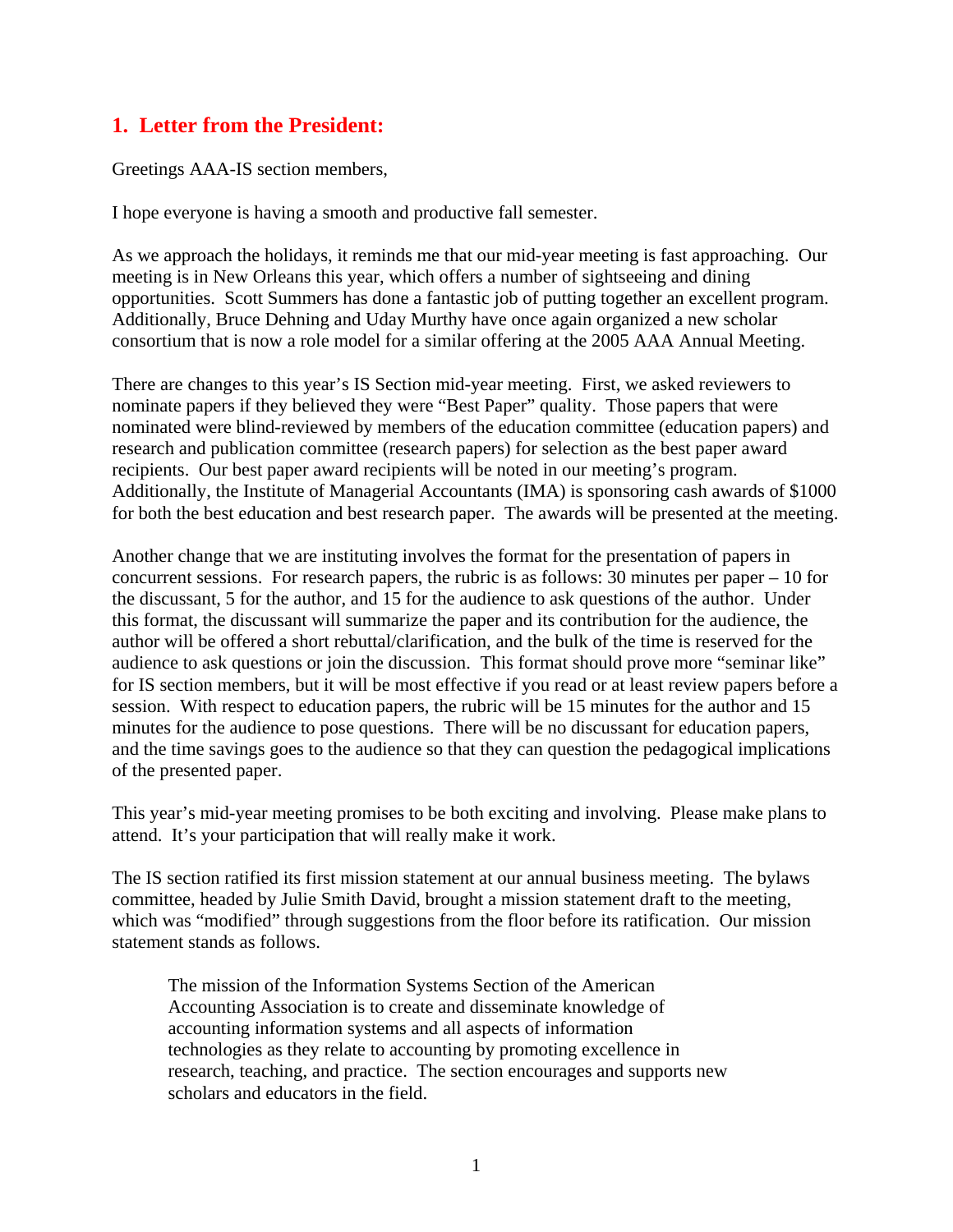# **1. Letter from the President:**

Greetings AAA-IS section members,

I hope everyone is having a smooth and productive fall semester.

As we approach the holidays, it reminds me that our mid-year meeting is fast approaching. Our meeting is in New Orleans this year, which offers a number of sightseeing and dining opportunities. Scott Summers has done a fantastic job of putting together an excellent program. Additionally, Bruce Dehning and Uday Murthy have once again organized a new scholar consortium that is now a role model for a similar offering at the 2005 AAA Annual Meeting.

There are changes to this year's IS Section mid-year meeting. First, we asked reviewers to nominate papers if they believed they were "Best Paper" quality. Those papers that were nominated were blind-reviewed by members of the education committee (education papers) and research and publication committee (research papers) for selection as the best paper award recipients. Our best paper award recipients will be noted in our meeting's program. Additionally, the Institute of Managerial Accountants (IMA) is sponsoring cash awards of \$1000 for both the best education and best research paper. The awards will be presented at the meeting.

Another change that we are instituting involves the format for the presentation of papers in concurrent sessions. For research papers, the rubric is as follows: 30 minutes per paper – 10 for the discussant, 5 for the author, and 15 for the audience to ask questions of the author. Under this format, the discussant will summarize the paper and its contribution for the audience, the author will be offered a short rebuttal/clarification, and the bulk of the time is reserved for the audience to ask questions or join the discussion. This format should prove more "seminar like" for IS section members, but it will be most effective if you read or at least review papers before a session. With respect to education papers, the rubric will be 15 minutes for the author and 15 minutes for the audience to pose questions. There will be no discussant for education papers, and the time savings goes to the audience so that they can question the pedagogical implications of the presented paper.

This year's mid-year meeting promises to be both exciting and involving. Please make plans to attend. It's your participation that will really make it work.

The IS section ratified its first mission statement at our annual business meeting. The bylaws committee, headed by Julie Smith David, brought a mission statement draft to the meeting, which was "modified" through suggestions from the floor before its ratification. Our mission statement stands as follows.

The mission of the Information Systems Section of the American Accounting Association is to create and disseminate knowledge of accounting information systems and all aspects of information technologies as they relate to accounting by promoting excellence in research, teaching, and practice. The section encourages and supports new scholars and educators in the field.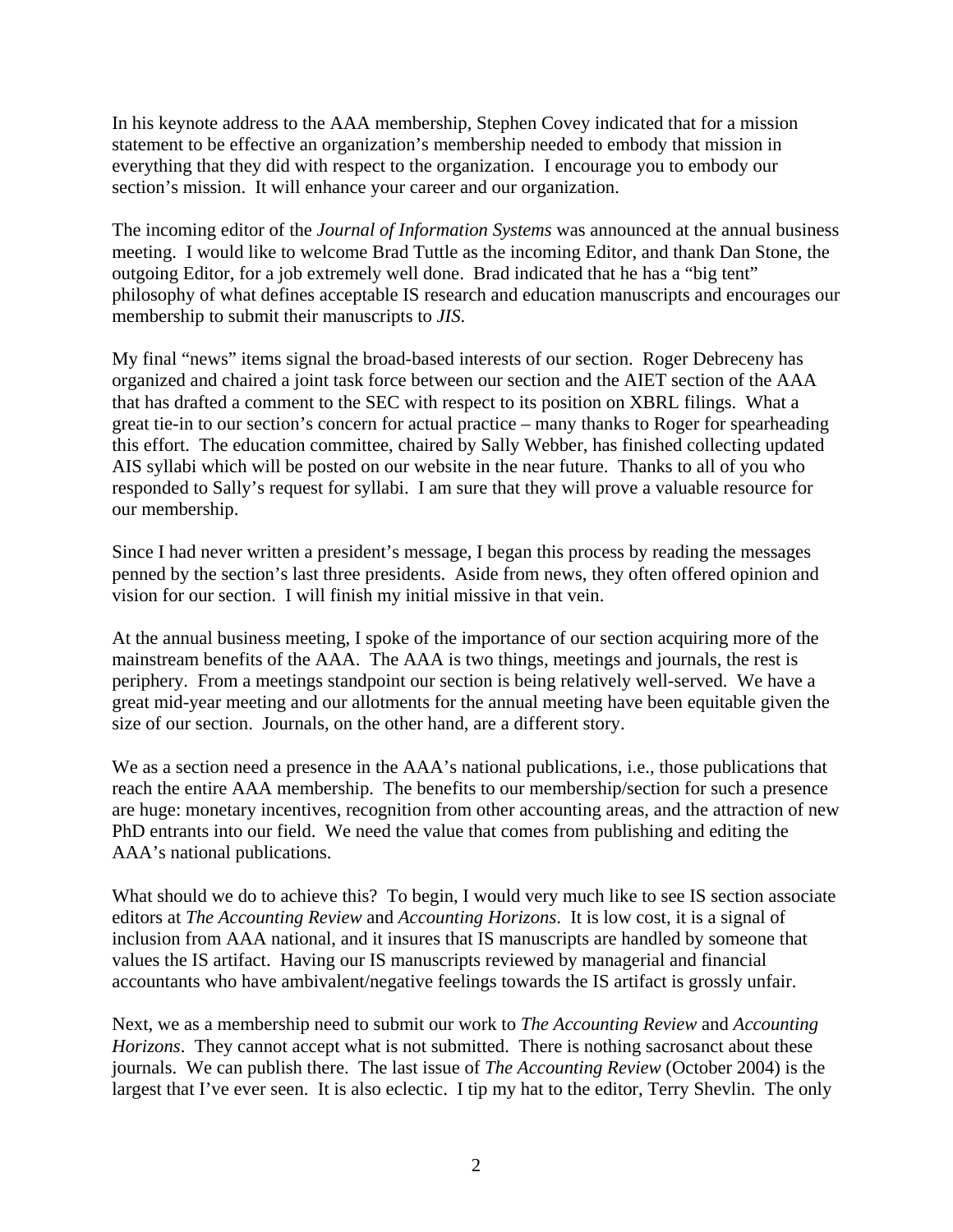In his keynote address to the AAA membership, Stephen Covey indicated that for a mission statement to be effective an organization's membership needed to embody that mission in everything that they did with respect to the organization. I encourage you to embody our section's mission. It will enhance your career and our organization.

The incoming editor of the *Journal of Information Systems* was announced at the annual business meeting. I would like to welcome Brad Tuttle as the incoming Editor, and thank Dan Stone, the outgoing Editor, for a job extremely well done. Brad indicated that he has a "big tent" philosophy of what defines acceptable IS research and education manuscripts and encourages our membership to submit their manuscripts to *JIS*.

My final "news" items signal the broad-based interests of our section. Roger Debreceny has organized and chaired a joint task force between our section and the AIET section of the AAA that has drafted a comment to the SEC with respect to its position on XBRL filings. What a great tie-in to our section's concern for actual practice – many thanks to Roger for spearheading this effort. The education committee, chaired by Sally Webber, has finished collecting updated AIS syllabi which will be posted on our website in the near future. Thanks to all of you who responded to Sally's request for syllabi. I am sure that they will prove a valuable resource for our membership.

Since I had never written a president's message, I began this process by reading the messages penned by the section's last three presidents. Aside from news, they often offered opinion and vision for our section. I will finish my initial missive in that vein.

At the annual business meeting, I spoke of the importance of our section acquiring more of the mainstream benefits of the AAA. The AAA is two things, meetings and journals, the rest is periphery. From a meetings standpoint our section is being relatively well-served. We have a great mid-year meeting and our allotments for the annual meeting have been equitable given the size of our section. Journals, on the other hand, are a different story.

We as a section need a presence in the AAA's national publications, i.e., those publications that reach the entire AAA membership. The benefits to our membership/section for such a presence are huge: monetary incentives, recognition from other accounting areas, and the attraction of new PhD entrants into our field. We need the value that comes from publishing and editing the AAA's national publications.

What should we do to achieve this? To begin, I would very much like to see IS section associate editors at *The Accounting Review* and *Accounting Horizons*. It is low cost, it is a signal of inclusion from AAA national, and it insures that IS manuscripts are handled by someone that values the IS artifact. Having our IS manuscripts reviewed by managerial and financial accountants who have ambivalent/negative feelings towards the IS artifact is grossly unfair.

Next, we as a membership need to submit our work to *The Accounting Review* and *Accounting Horizons*. They cannot accept what is not submitted. There is nothing sacrosanct about these journals. We can publish there. The last issue of *The Accounting Review* (October 2004) is the largest that I've ever seen. It is also eclectic. I tip my hat to the editor, Terry Shevlin. The only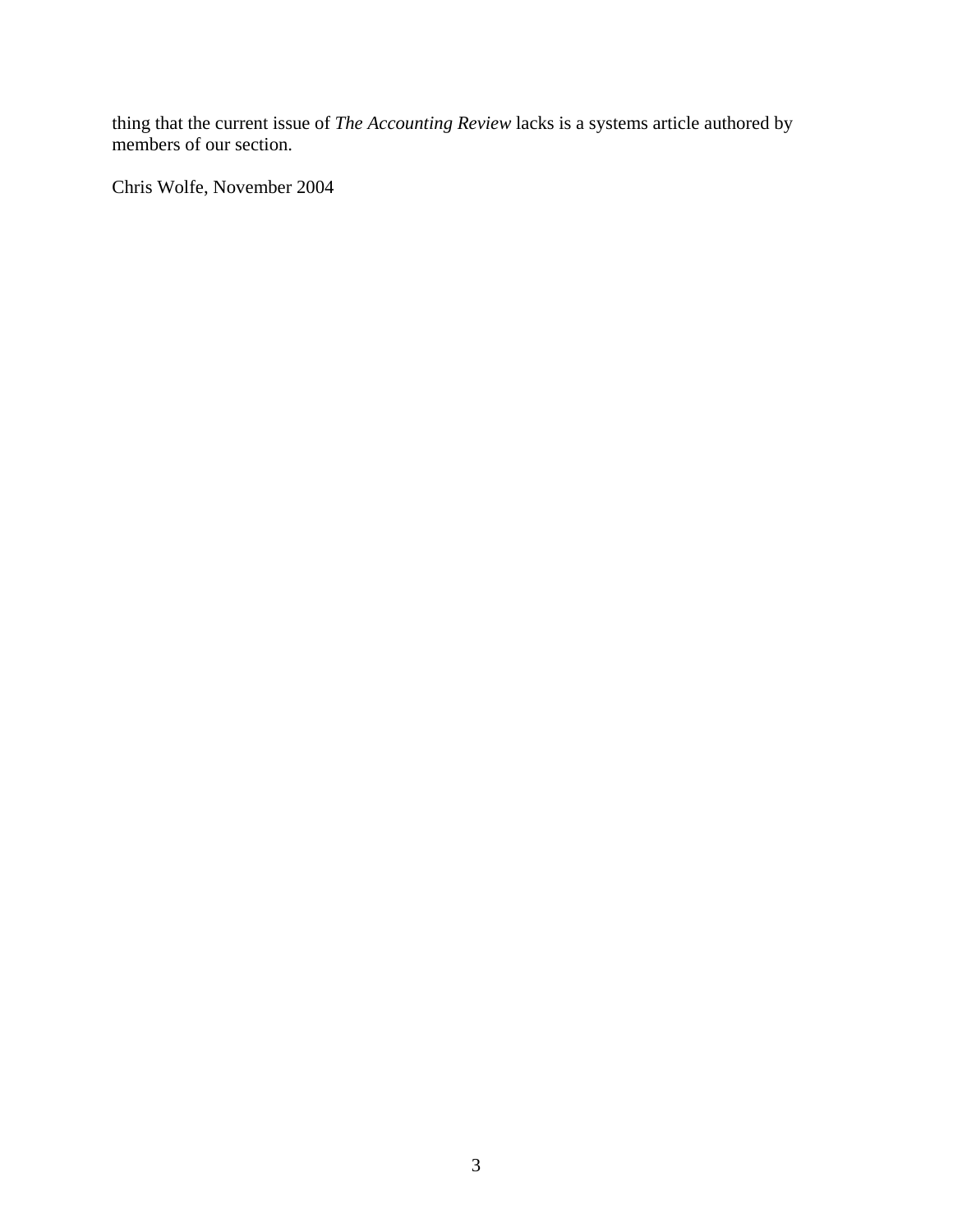thing that the current issue of *The Accounting Review* lacks is a systems article authored by members of our section.

Chris Wolfe, November 2004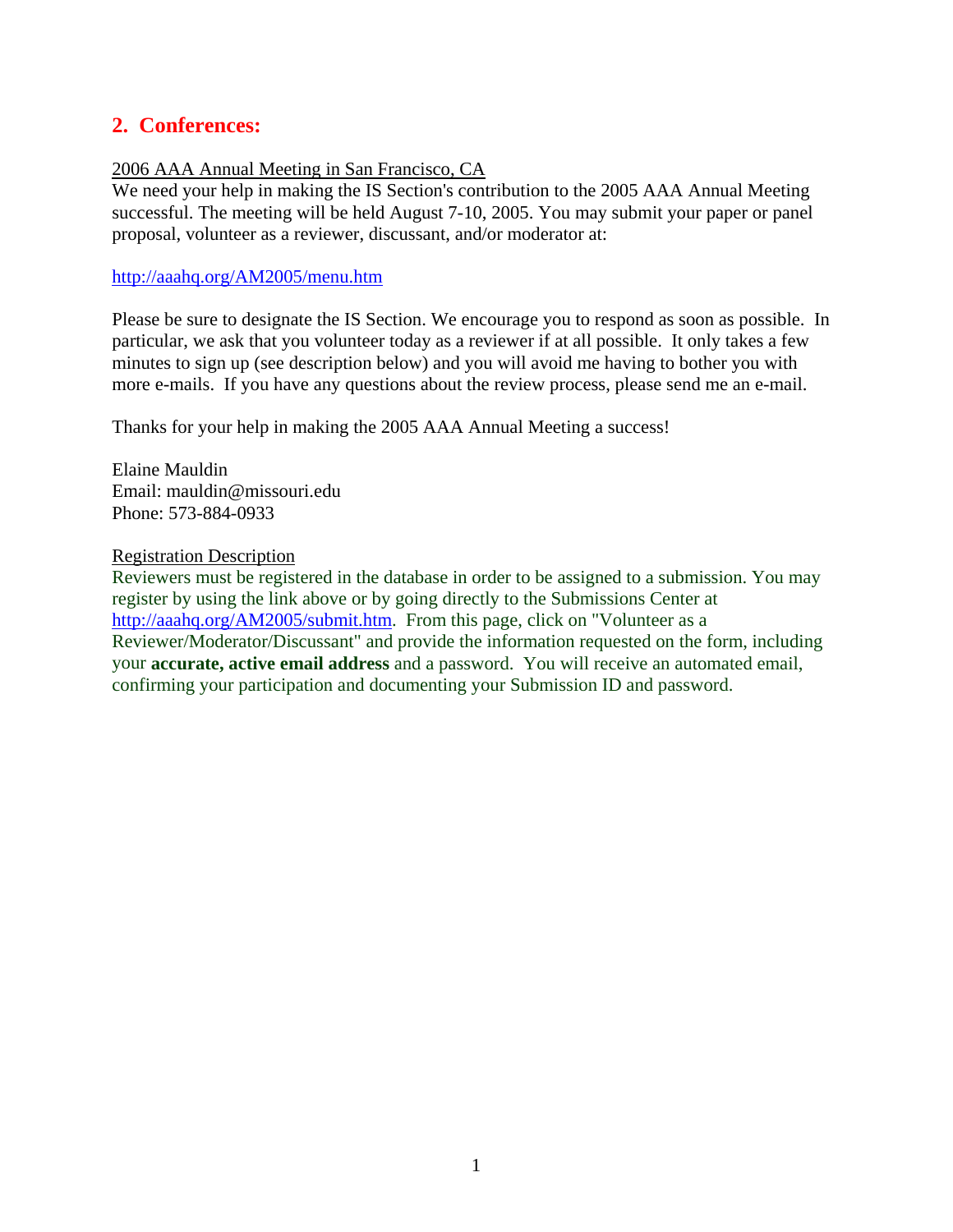# **2. Conferences:**

#### 2006 AAA Annual Meeting in San Francisco, CA

We need your help in making the IS Section's contribution to the 2005 AAA Annual Meeting successful. The meeting will be held August 7-10, 2005. You may submit your paper or panel proposal, volunteer as a reviewer, discussant, and/or moderator at:

#### http://aaahq.org/AM2005/menu.htm

Please be sure to designate the IS Section. We encourage you to respond as soon as possible. In particular, we ask that you volunteer today as a reviewer if at all possible. It only takes a few minutes to sign up (see description below) and you will avoid me having to bother you with more e-mails. If you have any questions about the review process, please send me an e-mail.

Thanks for your help in making the 2005 AAA Annual Meeting a success!

Elaine Mauldin Email: mauldin@missouri.edu Phone: 573-884-0933

#### Registration Description

Reviewers must be registered in the database in order to be assigned to a submission. You may register by using the link above or by going directly to the Submissions Center at http://aaahq.org/AM2005/submit.htm. From this page, click on "Volunteer as a Reviewer/Moderator/Discussant" and provide the information requested on the form, including your **accurate, active email address** and a password. You will receive an automated email, confirming your participation and documenting your Submission ID and password.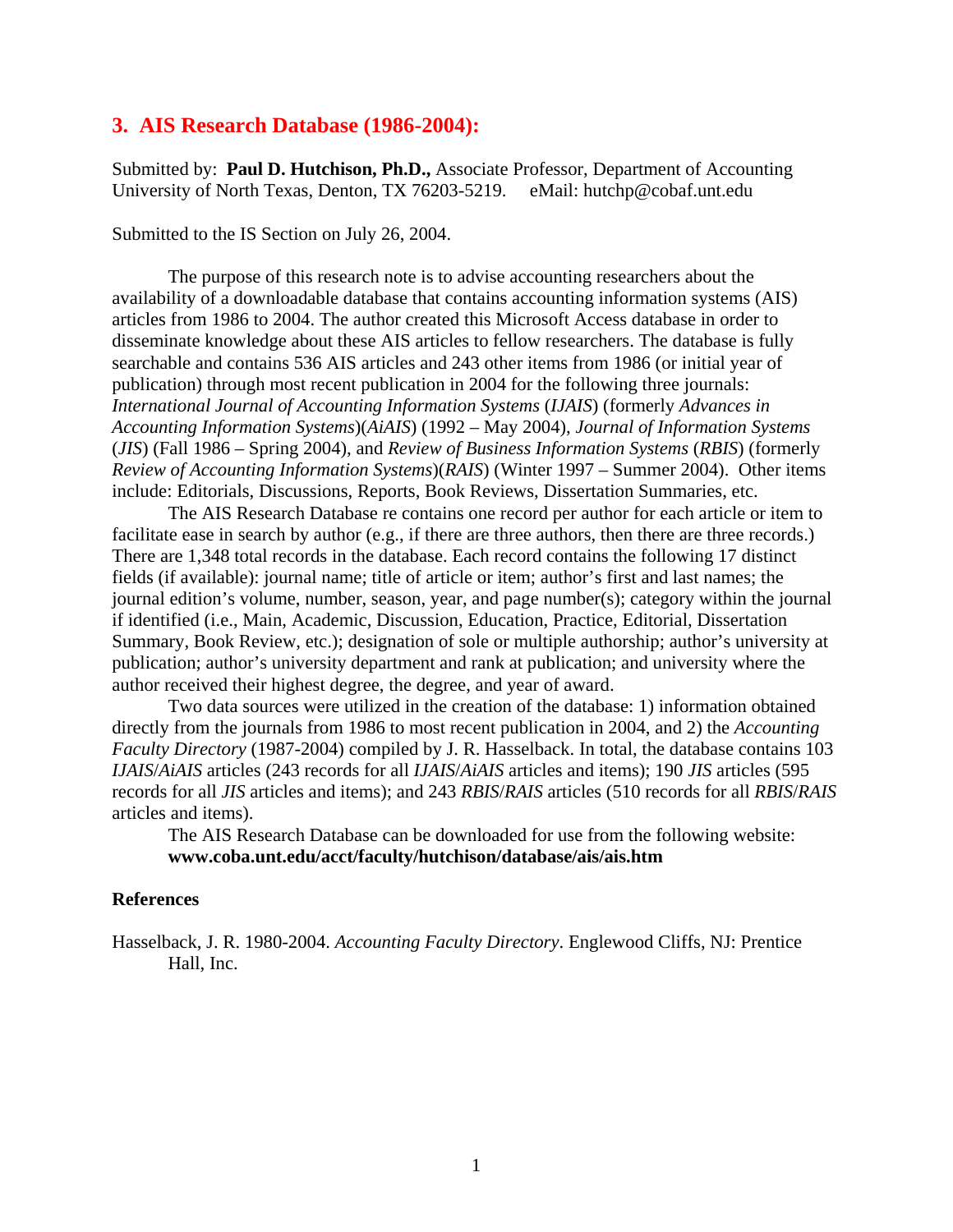#### **3. AIS Research Database (1986-2004):**

Submitted by: **Paul D. Hutchison, Ph.D.,** Associate Professor, Department of Accounting University of North Texas, Denton, TX 76203-5219. eMail: hutchp@cobaf.unt.edu

Submitted to the IS Section on July 26, 2004.

The purpose of this research note is to advise accounting researchers about the availability of a downloadable database that contains accounting information systems (AIS) articles from 1986 to 2004. The author created this Microsoft Access database in order to disseminate knowledge about these AIS articles to fellow researchers. The database is fully searchable and contains 536 AIS articles and 243 other items from 1986 (or initial year of publication) through most recent publication in 2004 for the following three journals: *International Journal of Accounting Information Systems* (*IJAIS*) (formerly *Advances in Accounting Information Systems*)(*AiAIS*) (1992 – May 2004), *Journal of Information Systems* (*JIS*) (Fall 1986 – Spring 2004), and *Review of Business Information Systems* (*RBIS*) (formerly *Review of Accounting Information Systems*)(*RAIS*) (Winter 1997 – Summer 2004). Other items include: Editorials, Discussions, Reports, Book Reviews, Dissertation Summaries, etc.

The AIS Research Database re contains one record per author for each article or item to facilitate ease in search by author (e.g., if there are three authors, then there are three records.) There are 1,348 total records in the database. Each record contains the following 17 distinct fields (if available): journal name; title of article or item; author's first and last names; the journal edition's volume, number, season, year, and page number(s); category within the journal if identified (i.e., Main, Academic, Discussion, Education, Practice, Editorial, Dissertation Summary, Book Review, etc.); designation of sole or multiple authorship; author's university at publication; author's university department and rank at publication; and university where the author received their highest degree, the degree, and year of award.

Two data sources were utilized in the creation of the database: 1) information obtained directly from the journals from 1986 to most recent publication in 2004, and 2) the *Accounting Faculty Directory* (1987-2004) compiled by J. R. Hasselback. In total, the database contains 103 *IJAIS*/*AiAIS* articles (243 records for all *IJAIS*/*AiAIS* articles and items); 190 *JIS* articles (595 records for all *JIS* articles and items); and 243 *RBIS*/*RAIS* articles (510 records for all *RBIS*/*RAIS* articles and items).

The AIS Research Database can be downloaded for use from the following website: **www.coba.unt.edu/acct/faculty/hutchison/database/ais/ais.htm** 

#### **References**

Hasselback, J. R. 1980-2004. *Accounting Faculty Directory*. Englewood Cliffs, NJ: Prentice Hall, Inc.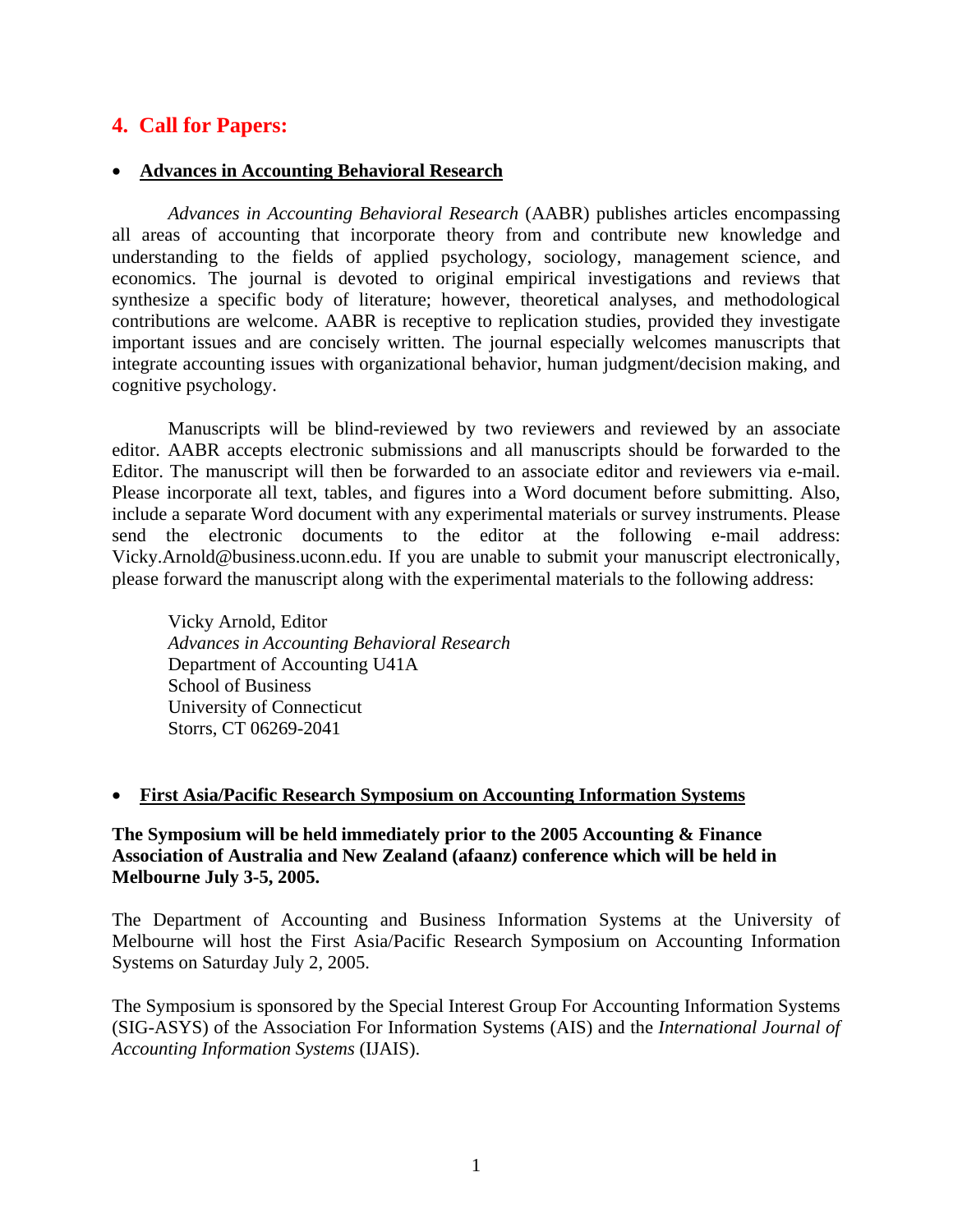# **4. Call for Papers:**

## • **Advances in Accounting Behavioral Research**

*Advances in Accounting Behavioral Research* (AABR) publishes articles encompassing all areas of accounting that incorporate theory from and contribute new knowledge and understanding to the fields of applied psychology, sociology, management science, and economics. The journal is devoted to original empirical investigations and reviews that synthesize a specific body of literature; however, theoretical analyses, and methodological contributions are welcome. AABR is receptive to replication studies, provided they investigate important issues and are concisely written. The journal especially welcomes manuscripts that integrate accounting issues with organizational behavior, human judgment/decision making, and cognitive psychology.

Manuscripts will be blind-reviewed by two reviewers and reviewed by an associate editor. AABR accepts electronic submissions and all manuscripts should be forwarded to the Editor. The manuscript will then be forwarded to an associate editor and reviewers via e-mail. Please incorporate all text, tables, and figures into a Word document before submitting. Also, include a separate Word document with any experimental materials or survey instruments. Please send the electronic documents to the editor at the following e-mail address: Vicky.Arnold@business.uconn.edu. If you are unable to submit your manuscript electronically, please forward the manuscript along with the experimental materials to the following address:

Vicky Arnold, Editor *Advances in Accounting Behavioral Research*  Department of Accounting U41A School of Business University of Connecticut Storrs, CT 06269-2041

#### • **First Asia/Pacific Research Symposium on Accounting Information Systems**

**The Symposium will be held immediately prior to the 2005 Accounting & Finance Association of Australia and New Zealand (afaanz) conference which will be held in Melbourne July 3-5, 2005.** 

The Department of Accounting and Business Information Systems at the University of Melbourne will host the First Asia/Pacific Research Symposium on Accounting Information Systems on Saturday July 2, 2005.

The Symposium is sponsored by the Special Interest Group For Accounting Information Systems (SIG-ASYS) of the Association For Information Systems (AIS) and the *International Journal of Accounting Information Systems* (IJAIS).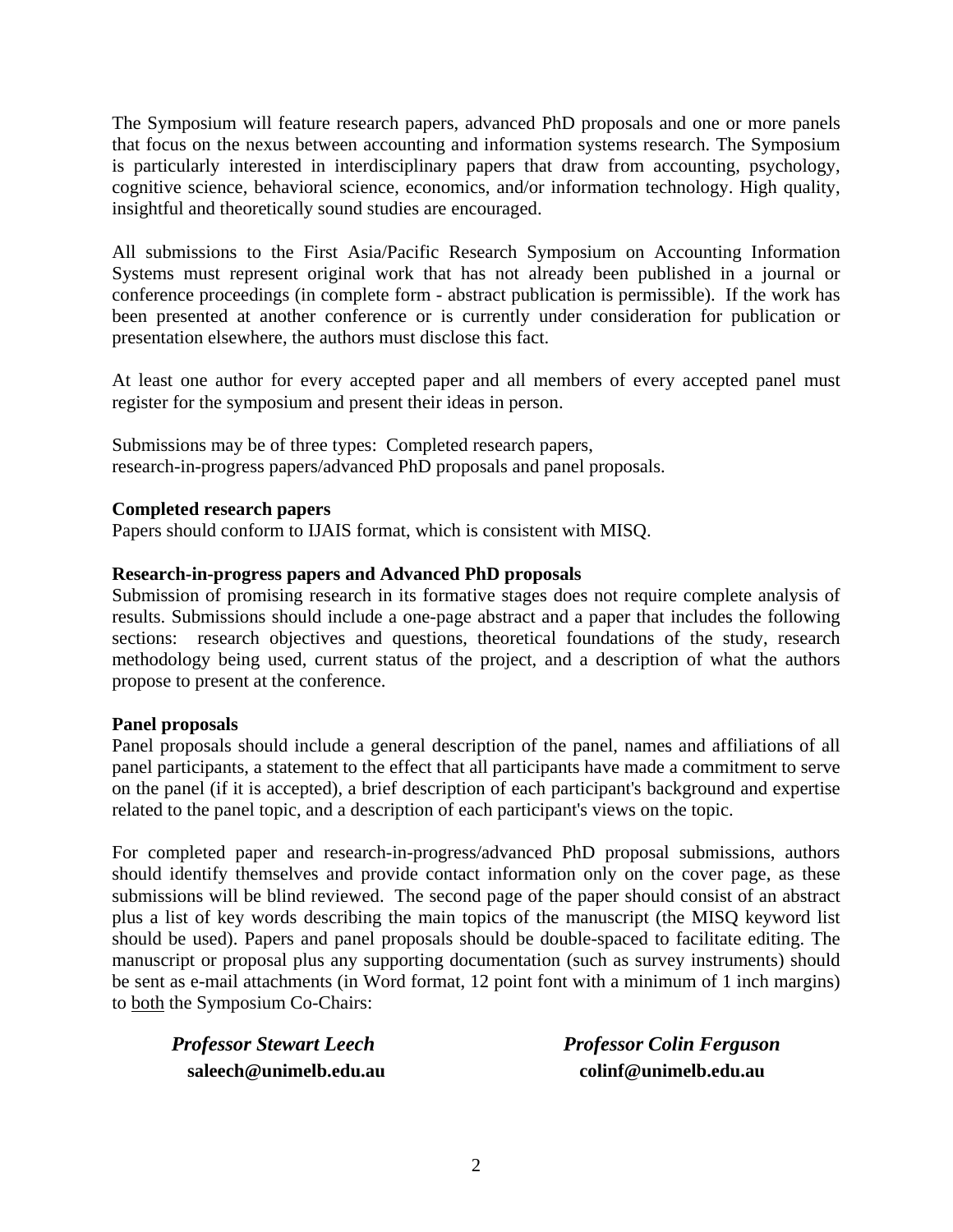The Symposium will feature research papers, advanced PhD proposals and one or more panels that focus on the nexus between accounting and information systems research. The Symposium is particularly interested in interdisciplinary papers that draw from accounting, psychology, cognitive science, behavioral science, economics, and/or information technology. High quality, insightful and theoretically sound studies are encouraged.

All submissions to the First Asia/Pacific Research Symposium on Accounting Information Systems must represent original work that has not already been published in a journal or conference proceedings (in complete form - abstract publication is permissible). If the work has been presented at another conference or is currently under consideration for publication or presentation elsewhere, the authors must disclose this fact.

At least one author for every accepted paper and all members of every accepted panel must register for the symposium and present their ideas in person.

Submissions may be of three types: Completed research papers, research-in-progress papers/advanced PhD proposals and panel proposals.

## **Completed research papers**

Papers should conform to IJAIS format, which is consistent with MISQ.

## **Research-in-progress papers and Advanced PhD proposals**

Submission of promising research in its formative stages does not require complete analysis of results. Submissions should include a one-page abstract and a paper that includes the following sections: research objectives and questions, theoretical foundations of the study, research methodology being used, current status of the project, and a description of what the authors propose to present at the conference.

#### **Panel proposals**

Panel proposals should include a general description of the panel, names and affiliations of all panel participants, a statement to the effect that all participants have made a commitment to serve on the panel (if it is accepted), a brief description of each participant's background and expertise related to the panel topic, and a description of each participant's views on the topic.

For completed paper and research-in-progress/advanced PhD proposal submissions, authors should identify themselves and provide contact information only on the cover page, as these submissions will be blind reviewed. The second page of the paper should consist of an abstract plus a list of key words describing the main topics of the manuscript (the MISQ keyword list should be used). Papers and panel proposals should be double-spaced to facilitate editing. The manuscript or proposal plus any supporting documentation (such as survey instruments) should be sent as e-mail attachments (in Word format, 12 point font with a minimum of 1 inch margins) to both the Symposium Co-Chairs:

*Professor Stewart Leech Professor Colin Ferguson*  **saleech@unimelb.edu.au colinf@unimelb.edu.au**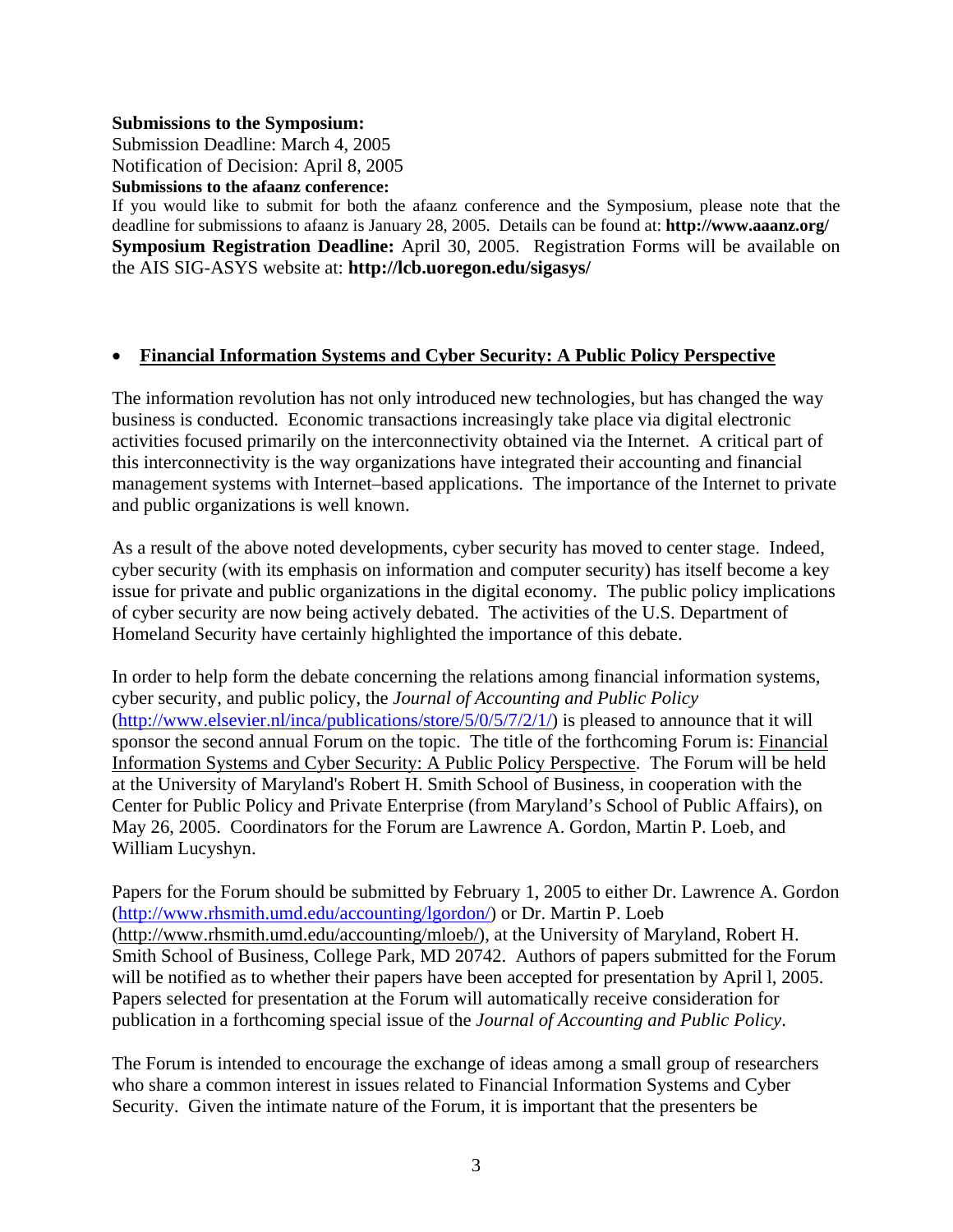#### **Submissions to the Symposium:**

Submission Deadline: March 4, 2005 Notification of Decision: April 8, 2005 **Submissions to the afaanz conference:**

If you would like to submit for both the afaanz conference and the Symposium, please note that the deadline for submissions to afaanz is January 28, 2005. Details can be found at: **http://www.aaanz.org/ Symposium Registration Deadline:** April 30, 2005. Registration Forms will be available on the AIS SIG-ASYS website at: **http://lcb.uoregon.edu/sigasys/** 

## • **Financial Information Systems and Cyber Security: A Public Policy Perspective**

The information revolution has not only introduced new technologies, but has changed the way business is conducted. Economic transactions increasingly take place via digital electronic activities focused primarily on the interconnectivity obtained via the Internet. A critical part of this interconnectivity is the way organizations have integrated their accounting and financial management systems with Internet–based applications. The importance of the Internet to private and public organizations is well known.

As a result of the above noted developments, cyber security has moved to center stage. Indeed, cyber security (with its emphasis on information and computer security) has itself become a key issue for private and public organizations in the digital economy. The public policy implications of cyber security are now being actively debated. The activities of the U.S. Department of Homeland Security have certainly highlighted the importance of this debate.

In order to help form the debate concerning the relations among financial information systems, cyber security, and public policy, the *Journal of Accounting and Public Policy* (http://www.elsevier.nl/inca/publications/store/5/0/5/7/2/1/) is pleased to announce that it will sponsor the second annual Forum on the topic. The title of the forthcoming Forum is: Financial Information Systems and Cyber Security: A Public Policy Perspective. The Forum will be held at the University of Maryland's Robert H. Smith School of Business, in cooperation with the Center for Public Policy and Private Enterprise (from Maryland's School of Public Affairs), on May 26, 2005. Coordinators for the Forum are Lawrence A. Gordon, Martin P. Loeb, and William Lucyshyn.

Papers for the Forum should be submitted by February 1, 2005 to either Dr. Lawrence A. Gordon (http://www.rhsmith.umd.edu/accounting/lgordon/) or Dr. Martin P. Loeb (http://www.rhsmith.umd.edu/accounting/mloeb/), at the University of Maryland, Robert H. Smith School of Business, College Park, MD 20742. Authors of papers submitted for the Forum will be notified as to whether their papers have been accepted for presentation by April l, 2005. Papers selected for presentation at the Forum will automatically receive consideration for publication in a forthcoming special issue of the *Journal of Accounting and Public Policy*.

The Forum is intended to encourage the exchange of ideas among a small group of researchers who share a common interest in issues related to Financial Information Systems and Cyber Security. Given the intimate nature of the Forum, it is important that the presenters be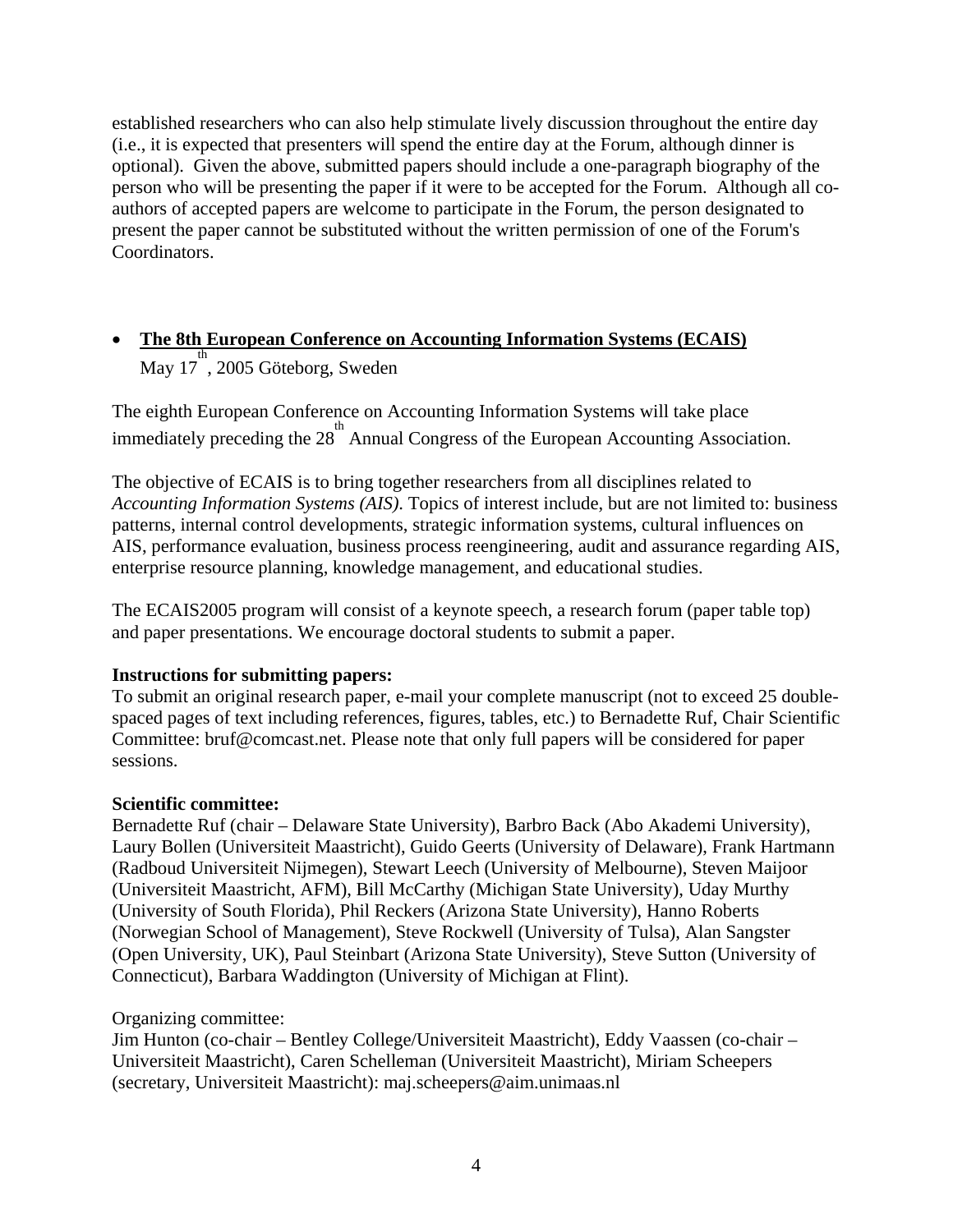established researchers who can also help stimulate lively discussion throughout the entire day (i.e., it is expected that presenters will spend the entire day at the Forum, although dinner is optional). Given the above, submitted papers should include a one-paragraph biography of the person who will be presenting the paper if it were to be accepted for the Forum. Although all coauthors of accepted papers are welcome to participate in the Forum, the person designated to present the paper cannot be substituted without the written permission of one of the Forum's Coordinators.

# • **The 8th European Conference on Accounting Information Systems (ECAIS)**  $\frac{1}{\text{May }17}$ , 2005 Göteborg, Sweden

The eighth European Conference on Accounting Information Systems will take place immediately preceding the 28<sup>th</sup> Annual Congress of the European Accounting Association.

The objective of ECAIS is to bring together researchers from all disciplines related to *Accounting Information Systems (AIS)*. Topics of interest include, but are not limited to: business patterns, internal control developments, strategic information systems, cultural influences on AIS, performance evaluation, business process reengineering, audit and assurance regarding AIS, enterprise resource planning, knowledge management, and educational studies.

The ECAIS2005 program will consist of a keynote speech, a research forum (paper table top) and paper presentations. We encourage doctoral students to submit a paper.

## **Instructions for submitting papers:**

To submit an original research paper, e-mail your complete manuscript (not to exceed 25 doublespaced pages of text including references, figures, tables, etc.) to Bernadette Ruf, Chair Scientific Committee: bruf@comcast.net. Please note that only full papers will be considered for paper sessions.

## **Scientific committee:**

Bernadette Ruf (chair – Delaware State University), Barbro Back (Abo Akademi University), Laury Bollen (Universiteit Maastricht), Guido Geerts (University of Delaware), Frank Hartmann (Radboud Universiteit Nijmegen), Stewart Leech (University of Melbourne), Steven Maijoor (Universiteit Maastricht, AFM), Bill McCarthy (Michigan State University), Uday Murthy (University of South Florida), Phil Reckers (Arizona State University), Hanno Roberts (Norwegian School of Management), Steve Rockwell (University of Tulsa), Alan Sangster (Open University, UK), Paul Steinbart (Arizona State University), Steve Sutton (University of Connecticut), Barbara Waddington (University of Michigan at Flint).

## Organizing committee:

Jim Hunton (co-chair – Bentley College/Universiteit Maastricht), Eddy Vaassen (co-chair – Universiteit Maastricht), Caren Schelleman (Universiteit Maastricht), Miriam Scheepers (secretary, Universiteit Maastricht): maj.scheepers@aim.unimaas.nl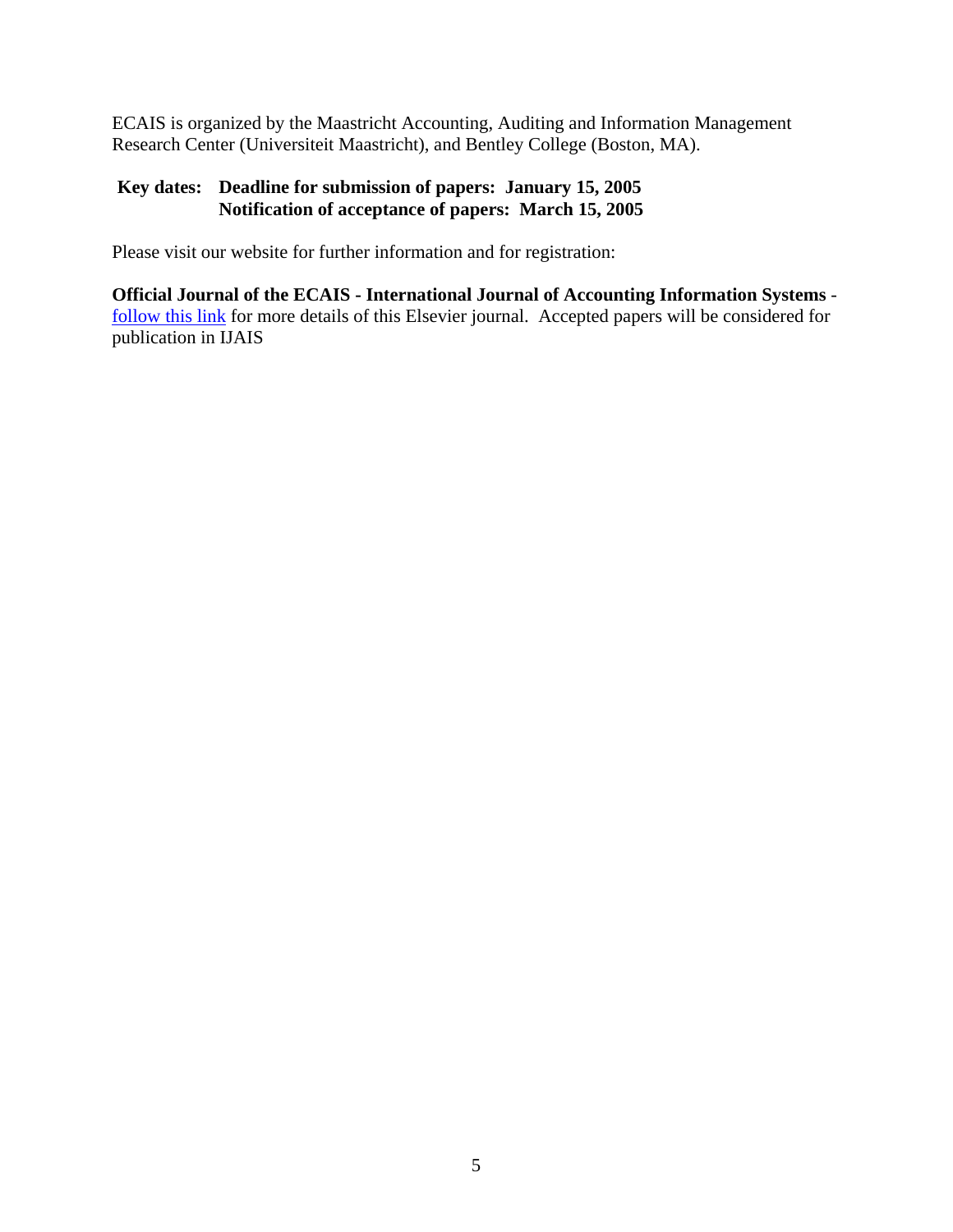ECAIS is organized by the Maastricht Accounting, Auditing and Information Management Research Center (Universiteit Maastricht), and Bentley College (Boston, MA).

## **Key dates: Deadline for submission of papers: January 15, 2005 Notification of acceptance of papers: March 15, 2005**

Please visit our website for further information and for registration:

**Official Journal of the ECAIS - International Journal of Accounting Information Systems** follow this link for more details of this Elsevier journal. Accepted papers will be considered for publication in IJAIS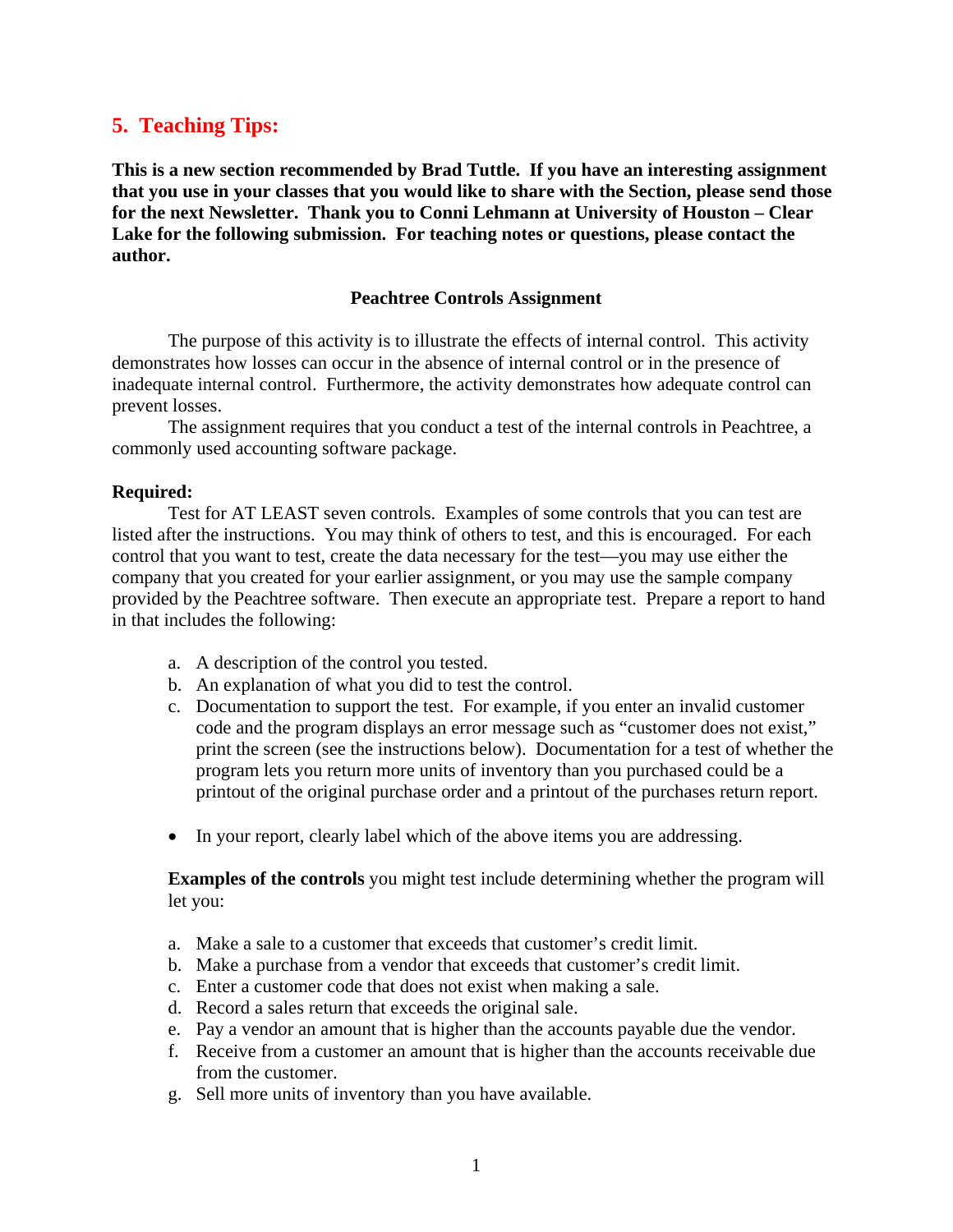# **5. Teaching Tips:**

**This is a new section recommended by Brad Tuttle. If you have an interesting assignment that you use in your classes that you would like to share with the Section, please send those for the next Newsletter. Thank you to Conni Lehmann at University of Houston – Clear Lake for the following submission. For teaching notes or questions, please contact the author.** 

#### **Peachtree Controls Assignment**

The purpose of this activity is to illustrate the effects of internal control. This activity demonstrates how losses can occur in the absence of internal control or in the presence of inadequate internal control. Furthermore, the activity demonstrates how adequate control can prevent losses.

The assignment requires that you conduct a test of the internal controls in Peachtree, a commonly used accounting software package.

#### **Required:**

Test for AT LEAST seven controls. Examples of some controls that you can test are listed after the instructions. You may think of others to test, and this is encouraged. For each control that you want to test, create the data necessary for the test—you may use either the company that you created for your earlier assignment, or you may use the sample company provided by the Peachtree software. Then execute an appropriate test. Prepare a report to hand in that includes the following:

- a. A description of the control you tested.
- b. An explanation of what you did to test the control.
- c. Documentation to support the test. For example, if you enter an invalid customer code and the program displays an error message such as "customer does not exist," print the screen (see the instructions below). Documentation for a test of whether the program lets you return more units of inventory than you purchased could be a printout of the original purchase order and a printout of the purchases return report.
- In your report, clearly label which of the above items you are addressing.

**Examples of the controls** you might test include determining whether the program will let you:

- a. Make a sale to a customer that exceeds that customer's credit limit.
- b. Make a purchase from a vendor that exceeds that customer's credit limit.
- c. Enter a customer code that does not exist when making a sale.
- d. Record a sales return that exceeds the original sale.
- e. Pay a vendor an amount that is higher than the accounts payable due the vendor.
- f. Receive from a customer an amount that is higher than the accounts receivable due from the customer.
- g. Sell more units of inventory than you have available.